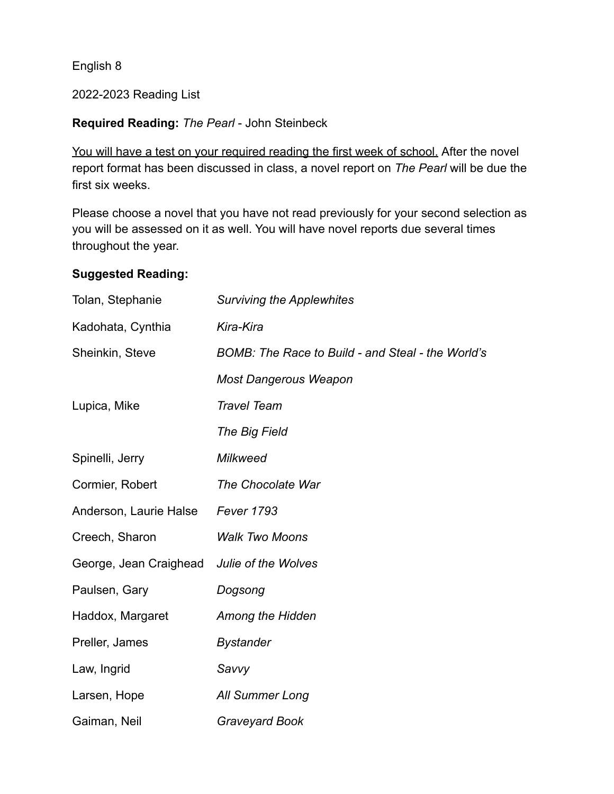English 8

2022-2023 Reading List

## **Required Reading:** *The Pearl* - John Steinbeck

You will have a test on your required reading the first week of school. After the novel report format has been discussed in class, a novel report on *The Pearl* will be due the first six weeks.

Please choose a novel that you have not read previously for your second selection as you will be assessed on it as well. You will have novel reports due several times throughout the year.

## **Suggested Reading:**

| Tolan, Stephanie       | <b>Surviving the Applewhites</b>                  |
|------------------------|---------------------------------------------------|
| Kadohata, Cynthia      | Kira-Kira                                         |
| Sheinkin, Steve        | BOMB: The Race to Build - and Steal - the World's |
|                        | <b>Most Dangerous Weapon</b>                      |
| Lupica, Mike           | <b>Travel Team</b>                                |
|                        | The Big Field                                     |
| Spinelli, Jerry        | <b>Milkweed</b>                                   |
| Cormier, Robert        | The Chocolate War                                 |
| Anderson, Laurie Halse | <b>Fever 1793</b>                                 |
| Creech, Sharon         | <b>Walk Two Moons</b>                             |
| George, Jean Craighead | <b>Julie of the Wolves</b>                        |
| Paulsen, Gary          | Dogsong                                           |
| Haddox, Margaret       | <b>Among the Hidden</b>                           |
| Preller, James         | <b>Bystander</b>                                  |
| Law, Ingrid            | Savvy                                             |
| Larsen, Hope           | <b>All Summer Long</b>                            |
| Gaiman, Neil           | <b>Graveyard Book</b>                             |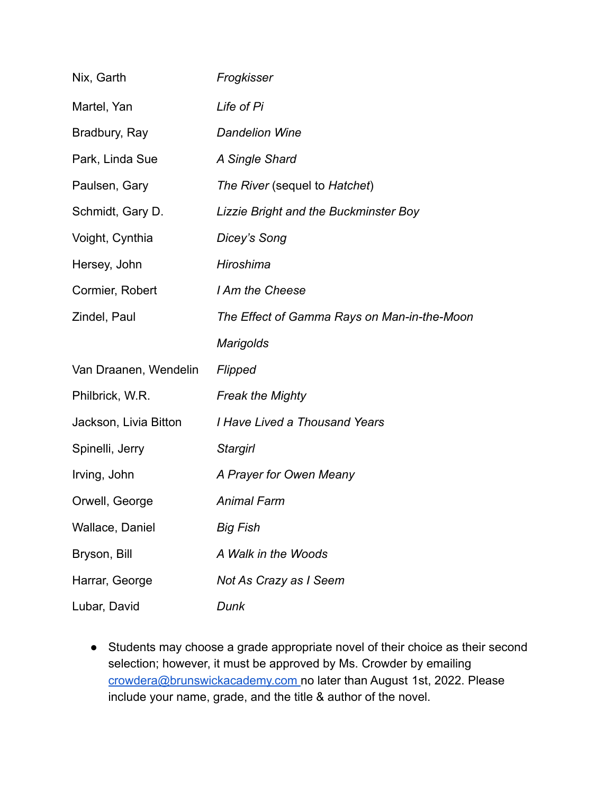| Nix, Garth            | Frogkisser                                  |
|-----------------------|---------------------------------------------|
| Martel, Yan           | Life of Pi                                  |
| Bradbury, Ray         | <b>Dandelion Wine</b>                       |
| Park, Linda Sue       | A Single Shard                              |
| Paulsen, Gary         | The River (sequel to Hatchet)               |
| Schmidt, Gary D.      | Lizzie Bright and the Buckminster Boy       |
| Voight, Cynthia       | Dicey's Song                                |
| Hersey, John          | Hiroshima                                   |
| Cormier, Robert       | I Am the Cheese                             |
| Zindel, Paul          | The Effect of Gamma Rays on Man-in-the-Moon |
|                       | Marigolds                                   |
| Van Draanen, Wendelin | Flipped                                     |
| Philbrick, W.R.       | <b>Freak the Mighty</b>                     |
| Jackson, Livia Bitton | I Have Lived a Thousand Years               |
| Spinelli, Jerry       | Stargirl                                    |
| Irving, John          | A Prayer for Owen Meany                     |
| Orwell, George        | <b>Animal Farm</b>                          |
| Wallace, Daniel       | <b>Big Fish</b>                             |
| Bryson, Bill          | A Walk in the Woods                         |
| Harrar, George        | Not As Crazy as I Seem                      |
| Lubar, David          | Dunk                                        |

● Students may choose a grade appropriate novel of their choice as their second selection; however, it must be approved by Ms. Crowder by emailing [crowdera@brunswickacademy.com](mailto:crowdera@brunswickacademy.com) no later than August 1st, 2022. Please include your name, grade, and the title & author of the novel.